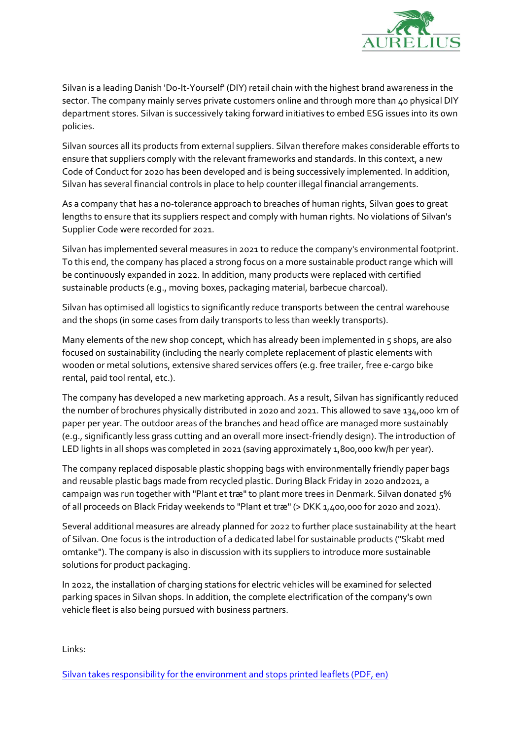

Silvan is a leading Danish 'Do-It-Yourself' (DIY) retail chain with the highest brand awareness in the sector. The company mainly serves private customers online and through more than 40 physical DIY department stores. Silvan is successively taking forward initiatives to embed ESG issues into its own policies.

Silvan sources all its products from external suppliers. Silvan therefore makes considerable efforts to ensure that suppliers comply with the relevant frameworks and standards. In this context, a new Code of Conduct for 2020 has been developed and is being successively implemented. In addition, Silvan has several financial controls in place to help counter illegal financial arrangements.

As a company that has a no-tolerance approach to breaches of human rights, Silvan goes to great lengths to ensure that its suppliers respect and comply with human rights. No violations of Silvan's Supplier Code were recorded for 2021.

Silvan has implemented several measures in 2021 to reduce the company's environmental footprint. To this end, the company has placed a strong focus on a more sustainable product range which will be continuously expanded in 2022. In addition, many products were replaced with certified sustainable products (e.g., moving boxes, packaging material, barbecue charcoal).

Silvan has optimised all logistics to significantly reduce transports between the central warehouse and the shops (in some cases from daily transports to less than weekly transports).

Many elements of the new shop concept, which has already been implemented in  $\varsigma$  shops, are also focused on sustainability (including the nearly complete replacement of plastic elements with wooden or metal solutions, extensive shared services offers (e.g. free trailer, free e-cargo bike rental, paid tool rental, etc.).

The company has developed a new marketing approach. As a result, Silvan has significantly reduced the number of brochures physically distributed in 2020 and 2021. This allowed to save 134,000 km of paper per year. The outdoor areas of the branches and head office are managed more sustainably (e.g., significantly less grass cutting and an overall more insect-friendly design). The introduction of LED lights in all shops was completed in 2021 (saving approximately 1,800,000 kw/h per year).

The company replaced disposable plastic shopping bags with environmentally friendly paper bags and reusable plastic bags made from recycled plastic. During Black Friday in 2020 and2021, a campaign was run together with "Plant et træ" to plant more trees in Denmark. Silvan donated 5% of all proceeds on Black Friday weekends to "Plant et træ" (> DKK 1,400,000 for 2020 and 2021).

Several additional measures are already planned for 2022 to further place sustainability at the heart of Silvan. One focus is the introduction of a dedicated label for sustainable products ("Skabt med omtanke"). The company is also in discussion with its suppliers to introduce more sustainable solutions for product packaging.

In 2022, the installation of charging stations for electric vehicles will be examined for selected parking spaces in Silvan shops. In addition, the complete electrification of the company's own vehicle fleet is also being pursued with business partners.

Links:

[Silvan takes responsibility for the environment and stops printed leaflets \(PDF, en\)](https://aurelius-group.com/site/assets/files/4364/silvan_leaflets.pdf)